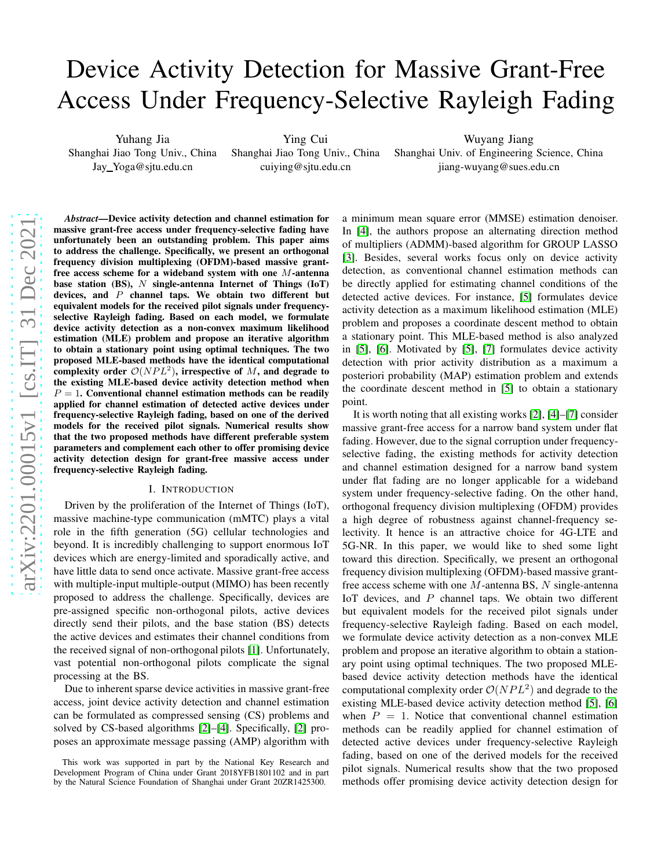# Device Activity Detection for Massive Grant-Free Access Under Frequency-Selective Rayleigh Fading

Yuhang Jia

Shanghai Jiao Tong Univ., China Jay Yoga@sjtu.edu.cn

Ying Cui Shanghai Jiao Tong Univ., China cuiying@sjtu.edu.cn

Wuyang Jiang Shanghai Univ. of Engineering Science, China jiang-wuyang@sues.edu.cn

*Abstract*—Device activity detection and channel estimation for massive grant-free access under frequency-selective fading have unfortunately been an outstanding problem. This paper aims to address the challenge. Specifically, we present an orthogonal frequency division multiplexing (OFDM)-based massive grantfree access scheme for a wideband system with one M-antenna base station (BS),  $N$  single-antenna Internet of Things (IoT) devices, and  $P$  channel taps. We obtain two different but equivalent models for the received pilot signals under frequencyselective Rayleigh fading. Based on each model, we formulate device activity detection as a non-convex maximum likelihood estimation (MLE) problem and propose an iterative algorithm to obtain a stationary point using optimal techniques. The two proposed MLE-based methods have the identical computational complexity order  $\mathcal{O}(NPL^2)$ , irrespective of M, and degrade to the existing MLE-based device activity detection method when  $P = 1$ . Conventional channel estimation methods can be readily applied for channel estimation of detected active devices under frequency-selective Rayleigh fading, based on one of the derived models for the received pilot signals. Numerical results show that the two proposed methods have different preferable system parameters and complement each other to offer promising device activity detection design for grant-free massive access under frequency-selective Rayleigh fading.

#### I. INTRODUCTION

Driven by the proliferation of the Internet of Things (IoT), massive machine-type communication (mMTC) plays a vital role in the fifth generation (5G) cellular technologies and beyond. It is incredibly challenging to support enormous IoT devices which are energy-limited and sporadically active, and have little data to send once activate. Massive grant-free access with multiple-input multiple-output (MIMO) has been recently proposed to address the challenge. Specifically, devices are pre-assigned specific non-orthogonal pilots, active devices directly send their pilots, and the base station (BS) detects the active devices and estimates their channel conditions from the received signal of non-orthogonal pilots [\[1\]](#page-5-0). Unfortunately, vast potential non-orthogonal pilots complicate the signal processing at the BS.

Due to inherent sparse device activities in massive grant-free access, joint device activity detection and channel estimation can be formulated as compressed sensing (CS) problems and solved by CS-based algorithms [\[2\]](#page-5-1)–[\[4\]](#page-5-2). Specifically, [\[2\]](#page-5-1) proposes an approximate message passing (AMP) algorithm with

a minimum mean square error (MMSE) estimation denoiser. In [\[4\]](#page-5-2), the authors propose an alternating direction method of multipliers (ADMM)-based algorithm for GROUP LASSO [\[3\]](#page-5-3). Besides, several works focus only on device activity detection, as conventional channel estimation methods can be directly applied for estimating channel conditions of the detected active devices. For instance, [\[5\]](#page-5-4) formulates device activity detection as a maximum likelihood estimation (MLE) problem and proposes a coordinate descent method to obtain a stationary point. This MLE-based method is also analyzed in [\[5\]](#page-5-4), [\[6\]](#page-5-5). Motivated by [\[5\]](#page-5-4), [\[7\]](#page-5-6) formulates device activity detection with prior activity distribution as a maximum a posteriori probability (MAP) estimation problem and extends the coordinate descent method in [\[5\]](#page-5-4) to obtain a stationary point.

It is worth noting that all existing works [\[2\]](#page-5-1), [\[4\]](#page-5-2)–[\[7\]](#page-5-6) consider massive grant-free access for a narrow band system under flat fading. However, due to the signal corruption under frequencyselective fading, the existing methods for activity detection and channel estimation designed for a narrow band system under flat fading are no longer applicable for a wideband system under frequency-selective fading. On the other hand, orthogonal frequency division multiplexing (OFDM) provides a high degree of robustness against channel-frequency selectivity. It hence is an attractive choice for 4G-LTE and 5G-NR. In this paper, we would like to shed some light toward this direction. Specifically, we present an orthogonal frequency division multiplexing (OFDM)-based massive grantfree access scheme with one  $M$ -antenna BS,  $N$  single-antenna IoT devices, and P channel taps. We obtain two different but equivalent models for the received pilot signals under frequency-selective Rayleigh fading. Based on each model, we formulate device activity detection as a non-convex MLE problem and propose an iterative algorithm to obtain a stationary point using optimal techniques. The two proposed MLEbased device activity detection methods have the identical computational complexity order  $\mathcal{O}(NPL^2)$  and degrade to the existing MLE-based device activity detection method [\[5\]](#page-5-4), [\[6\]](#page-5-5) when  $P = 1$ . Notice that conventional channel estimation methods can be readily applied for channel estimation of detected active devices under frequency-selective Rayleigh fading, based on one of the derived models for the received pilot signals. Numerical results show that the two proposed methods offer promising device activity detection design for

This work was supported in part by the National Key Research and Development Program of China under Grant 2018YFB1801102 and in part by the Natural Science Foundation of Shanghai under Grant 20ZR1425300.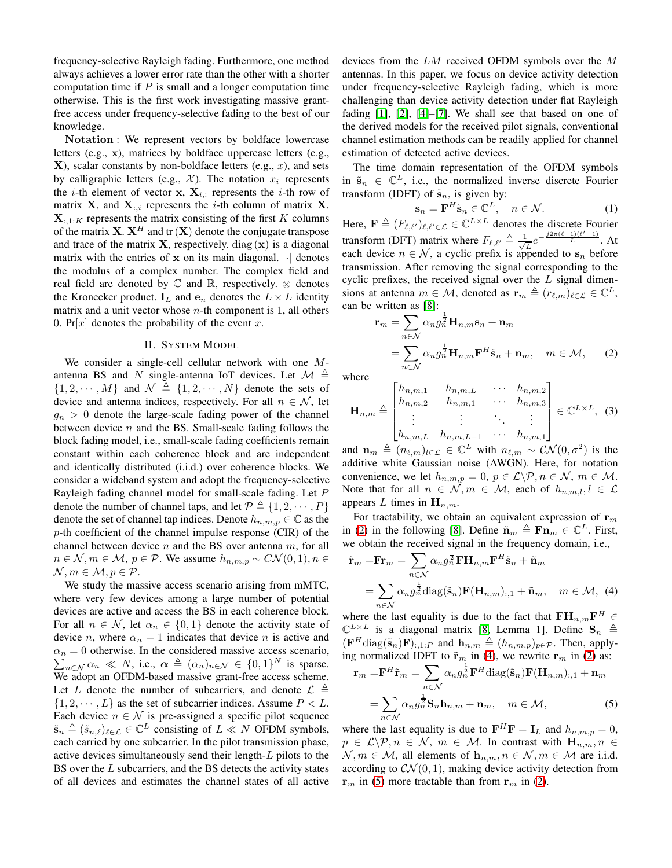frequency-selective Rayleigh fading. Furthermore, one method always achieves a lower error rate than the other with a shorter computation time if  $P$  is small and a longer computation time otherwise. This is the first work investigating massive grantfree access under frequency-selective fading to the best of our knowledge.

Notation : We represent vectors by boldface lowercase letters (e.g., x), matrices by boldface uppercase letters (e.g.,  $X$ ), scalar constants by non-boldface letters (e.g., x), and sets by calligraphic letters (e.g.,  $\mathcal{X}$ ). The notation  $x_i$  represents the *i*-th element of vector x,  $X_{i,:}$  represents the *i*-th row of matrix **X**, and **X**<sub>:*i*</sub> represents the *i*-th column of matrix **X**.  $\mathbf{X}_{:,1:K}$  represents the matrix consisting of the first K columns of the matrix **X**.  $X^H$  and tr  $(X)$  denote the conjugate transpose and trace of the matrix **X**, respectively. diag  $(x)$  is a diagonal matrix with the entries of  $x$  on its main diagonal.  $|\cdot|$  denotes the modulus of a complex number. The complex field and real field are denoted by  $\mathbb C$  and  $\mathbb R$ , respectively.  $\otimes$  denotes the Kronecker product.  $I_L$  and  $e_n$  denotes the  $L \times L$  identity matrix and a unit vector whose  $n$ -th component is 1, all others 0. Pr $[x]$  denotes the probability of the event x.

## II. SYSTEM MODEL

We consider a single-cell cellular network with one Mantenna BS and N single-antenna IoT devices. Let  $\mathcal{M} \triangleq$  $\{1, 2, \cdots, M\}$  and  $\mathcal{N} \triangleq \{1, 2, \cdots, N\}$  denote the sets of device and antenna indices, respectively. For all  $n \in \mathcal{N}$ , let  $g_n > 0$  denote the large-scale fading power of the channel between device  $n$  and the BS. Small-scale fading follows the block fading model, i.e., small-scale fading coefficients remain constant within each coherence block and are independent and identically distributed (i.i.d.) over coherence blocks. We consider a wideband system and adopt the frequency-selective Rayleigh fading channel model for small-scale fading. Let P denote the number of channel taps, and let  $\mathcal{P} \triangleq \{1, 2, \cdots, P\}$ denote the set of channel tap indices. Denote  $h_{n,m,p} \in \mathbb{C}$  as the p-th coefficient of the channel impulse response (CIR) of the channel between device  $n$  and the BS over antenna  $m$ , for all  $n \in \mathcal{N}, m \in \mathcal{M}, p \in \mathcal{P}$ . We assume  $h_{n,m,p} \sim C\mathcal{N}(0,1), n \in$  $\mathcal{N}, m \in \mathcal{M}, p \in \mathcal{P}.$ 

We study the massive access scenario arising from mMTC, where very few devices among a large number of potential devices are active and access the BS in each coherence block. For all  $n \in \mathcal{N}$ , let  $\alpha_n \in \{0,1\}$  denote the activity state of device *n*, where  $\alpha_n = 1$  indicates that device *n* is active and  $\sum_{n \in \mathcal{N}} \alpha_n \ll N$ , i.e.,  $\alpha \triangleq (\alpha_n)_{n \in \mathcal{N}} \in \{0,1\}^N$  is sparse.  $\alpha_n = 0$  otherwise. In the considered massive access scenario, We adopt an OFDM-based massive grant-free access scheme. Let L denote the number of subcarriers, and denote  $\mathcal{L} \triangleq$  $\{1, 2, \dots, L\}$  as the set of subcarrier indices. Assume  $P < L$ . Each device  $n \in \mathcal{N}$  is pre-assigned a specific pilot sequence  $\tilde{\mathbf{s}}_n \triangleq (\tilde{s}_{n,\ell})_{\ell \in \mathcal{L}} \in \mathbb{C}^L$  consisting of  $L \ll N$  OFDM symbols, each carried by one subcarrier. In the pilot transmission phase, active devices simultaneously send their length-L pilots to the BS over the L subcarriers, and the BS detects the activity states of all devices and estimates the channel states of all active

devices from the LM received OFDM symbols over the M antennas. In this paper, we focus on device activity detection under frequency-selective Rayleigh fading, which is more challenging than device activity detection under flat Rayleigh fading [\[1\]](#page-5-0), [\[2\]](#page-5-1), [\[4\]](#page-5-2)–[\[7\]](#page-5-6). We shall see that based on one of the derived models for the received pilot signals, conventional channel estimation methods can be readily applied for channel estimation of detected active devices.

The time domain representation of the OFDM symbols in  $\tilde{s}_n \in \mathbb{C}^L$ , i.e., the normalized inverse discrete Fourier transform (IDFT) of  $\tilde{\mathbf{s}}_n$ , is given by:

<span id="page-1-0"></span>
$$
\mathbf{s}_n = \mathbf{F}^H \tilde{\mathbf{s}}_n \in \mathbb{C}^L, \quad n \in \mathcal{N}.
$$
 (1)

Here,  $\mathbf{F} \triangleq (F_{\ell,\ell'})_{\ell,\ell' \in \mathcal{L}} \in \mathbb{C}^{L \times L}$  denotes the discrete Fourier transform (DFT) matrix where  $F_{\ell,\ell'} \triangleq \frac{1}{\sqrt{\ell}}$  $\frac{1}{L}e^{-\frac{j2\pi(\ell-1)(\ell'-1)}{L}}$ . At each device  $n \in \mathcal{N}$ , a cyclic prefix is appended to  $s_n$  before transmission. After removing the signal corresponding to the cyclic prefixes, the received signal over the  $L$  signal dimensions at antenna  $m \in \mathcal{M}$ , denoted as  $\mathbf{r}_m \triangleq (r_{\ell,m})_{\ell \in \mathcal{L}} \in \mathbb{C}^L$ , can be written as [\[8\]](#page-5-7):

$$
\mathbf{r}_{m} = \sum_{n \in \mathcal{N}} \alpha_{n} g_{n}^{\frac{1}{2}} \mathbf{H}_{n,m} \mathbf{s}_{n} + \mathbf{n}_{m}
$$
  
= 
$$
\sum_{n \in \mathcal{N}} \alpha_{n} g_{n}^{\frac{1}{2}} \mathbf{H}_{n,m} \mathbf{F}^{H} \tilde{\mathbf{s}}_{n} + \mathbf{n}_{m}, \quad m \in \mathcal{M}, \qquad (2)
$$

where

$$
\mathbf{H}_{n,m} \triangleq \begin{bmatrix} h_{n,m,1} & h_{n,m,L} & \cdots & h_{n,m,2} \\ h_{n,m,2} & h_{n,m,1} & \cdots & h_{n,m,3} \\ \vdots & \vdots & \ddots & \vdots \\ h_{n,m,L} & h_{n,m,L-1} & \cdots & h_{n,m,1} \end{bmatrix} \in \mathbb{C}^{L \times L}, \quad (3)
$$

and  $\mathbf{n}_m \triangleq (n_{\ell,m})_{l \in \mathcal{L}} \in \mathbb{C}^L$  with  $n_{\ell,m} \sim \mathcal{CN}(0, \sigma^2)$  is the additive white Gaussian noise (AWGN). Here, for notation convenience, we let  $h_{n,m,p} = 0$ ,  $p \in \mathcal{L} \backslash \mathcal{P}, n \in \mathcal{N}, m \in \mathcal{M}$ . Note that for all  $n \in \mathcal{N}, m \in \mathcal{M}$ , each of  $h_{n,m,l}$ ,  $l \in \mathcal{L}$ appears L times in  $\mathbf{H}_{n,m}$ .

For tractability, we obtain an equivalent expression of  $r_m$ in [\(2\)](#page-1-0) in the following [\[8\]](#page-5-7). Define  $\tilde{\mathbf{n}}_m \triangleq \mathbf{F}\mathbf{n}_m \in \mathbb{C}^L$ . First, we obtain the received signal in the frequency domain, i.e.,

<span id="page-1-1"></span>
$$
\tilde{\mathbf{r}}_m = \mathbf{F}\mathbf{r}_m = \sum_{n \in \mathcal{N}} \alpha_n g_n^{\frac{1}{2}} \mathbf{F} \mathbf{H}_{n,m} \mathbf{F}^H \tilde{\mathbf{s}}_n + \tilde{\mathbf{n}}_m
$$
\n
$$
= \sum_{n \in \mathcal{N}} \alpha_n g_n^{\frac{1}{2}} \text{diag}(\tilde{\mathbf{s}}_n) \mathbf{F}(\mathbf{H}_{n,m})_{:,1} + \tilde{\mathbf{n}}_m, \quad m \in \mathcal{M}, \tag{4}
$$

where the last equality is due to the fact that  $\mathbf{FH}_{n,m}\mathbf{F}^H \in \mathbb{R}^{n \times n}$  $\mathbb{C}^{L\times L}$  is a diagonal matrix [\[8,](#page-5-7) Lemma 1]. Define  $\mathbf{S}_n \triangleq$  $(\mathbf{F}^H \text{diag}(\tilde{\mathbf{s}}_n)\mathbf{F})_{:,1:P}$  and  $\mathbf{h}_{n,m} \triangleq (h_{n,m,p})_{p \in \mathcal{P}}$ . Then, applying normalized IDFT to  $\tilde{\mathbf{r}}_m$  in [\(4\)](#page-1-1), we rewrite  $\mathbf{r}_m$  in [\(2\)](#page-1-0) as:

<span id="page-1-2"></span>
$$
\mathbf{r}_{m} = \mathbf{F}^{H} \tilde{\mathbf{r}}_{m} = \sum_{n \in \mathcal{N}} \alpha_{n} g_{n}^{\frac{1}{2}} \mathbf{F}^{H} \text{diag}(\tilde{\mathbf{s}}_{n}) \mathbf{F}(\mathbf{H}_{n,m}); 1 + \mathbf{n}_{m}
$$

$$
= \sum_{n \in \mathcal{N}} \alpha_{n} g_{n}^{\frac{1}{2}} \mathbf{S}_{n} \mathbf{h}_{n,m} + \mathbf{n}_{m}, \quad m \in \mathcal{M}, \tag{5}
$$

where the last equality is due to  $\mathbf{F}^H \mathbf{F} = \mathbf{I}_L$  and  $h_{n,m,p} = 0$ ,  $p \in \mathcal{L}\backslash\mathcal{P}, n \in \mathcal{N}, m \in \mathcal{M}$ . In contrast with  $\mathbf{H}_{n,m}, n \in$  $\mathcal{N}, m \in \mathcal{M}$ , all elements of  $\mathbf{h}_{n,m}, n \in \mathcal{N}, m \in \mathcal{M}$  are i.i.d. according to  $CN(0, 1)$ , making device activity detection from  $\mathbf{r}_m$  in [\(5\)](#page-1-2) more tractable than from  $\mathbf{r}_m$  in [\(2\)](#page-1-0).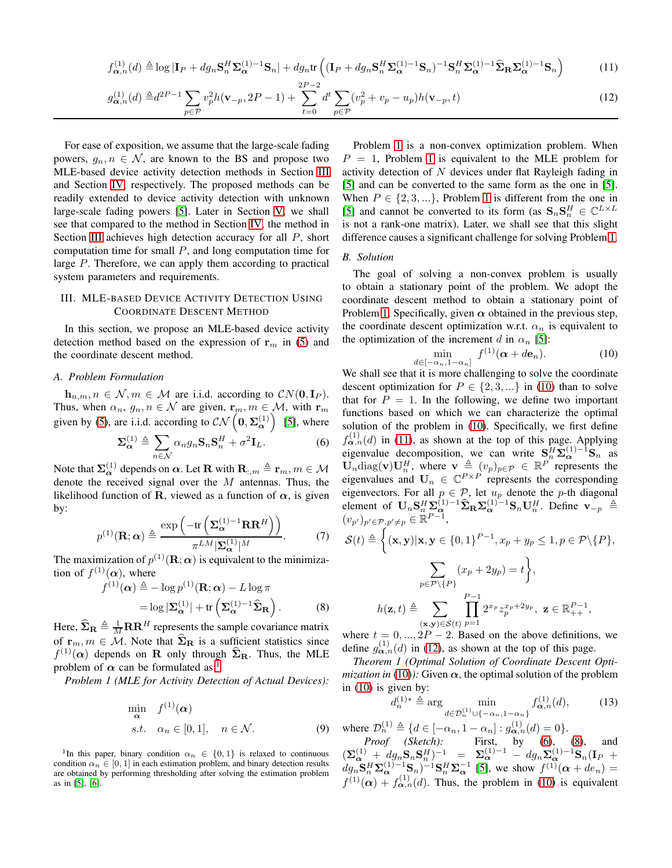$$
f_{\alpha,n}^{(1)}(d) \triangleq \log|\mathbf{I}_P + dg_n \mathbf{S}_n^H \mathbf{\Sigma}_{\alpha}^{(1)-1} \mathbf{S}_n| + dg_n \text{tr}\left( (\mathbf{I}_P + dg_n \mathbf{S}_n^H \mathbf{\Sigma}_{\alpha}^{(1)-1} \mathbf{S}_n)^{-1} \mathbf{S}_n^H \mathbf{\Sigma}_{\alpha}^{(1)-1} \widehat{\mathbf{\Sigma}}_{\mathbf{R}} \mathbf{\Sigma}_{\alpha}^{(1)-1} \mathbf{S}_n \right) \tag{11}
$$

$$
g_{\alpha,n}^{(1)}(d) \triangleq d^{2P-1} \sum_{p \in \mathcal{P}} v_p^2 h(\mathbf{v}_{-p}, 2P-1) + \sum_{t=0}^{2P-2} d^t \sum_{p \in \mathcal{P}} (v_p^2 + v_p - u_p) h(\mathbf{v}_{-p}, t)
$$
(12)

For ease of exposition, we assume that the large-scale fading powers,  $g_n, n \in \mathcal{N}$ , are known to the BS and propose two MLE-based device activity detection methods in Section [III](#page-2-0) and Section [IV,](#page-3-0) respectively. The proposed methods can be readily extended to device activity detection with unknown large-scale fading powers [\[5\]](#page-5-4). Later in Section [V,](#page-4-0) we shall see that compared to the method in Section [IV,](#page-3-0) the method in Section [III](#page-2-0) achieves high detection accuracy for all P, short computation time for small  $P$ , and long computation time for large P. Therefore, we can apply them according to practical system parameters and requirements.

# <span id="page-2-0"></span>III. MLE-BASED DEVICE ACTIVITY DETECTION USING COORDINATE DESCENT METHOD

In this section, we propose an MLE-based device activity detection method based on the expression of  $r_m$  in [\(5\)](#page-1-2) and the coordinate descent method.

## *A. Problem Formulation*

 $h_{n,m}, n \in \mathcal{N}, m \in \mathcal{M}$  are i.i.d. according to  $CN(\mathbf{0}, \mathbf{I}_P)$ . Thus, when  $\alpha_n$ ,  $g_n$ ,  $n \in \mathcal{N}$  are given,  $\mathbf{r}_m$ ,  $m \in \mathcal{M}$ , with  $\mathbf{r}_m$ given by [\(5\)](#page-1-2), are i.i.d. according to  $CN\left(0, \Sigma_{\alpha}^{(1)}\right)$  [\[5\]](#page-5-4), where

$$
\Sigma_{\alpha}^{(1)} \triangleq \sum_{n \in \mathcal{N}} \alpha_n g_n \mathbf{S}_n \mathbf{S}_n^H + \sigma^2 \mathbf{I}_L.
$$
 (6)

Note that  $\Sigma^{(1)}_{\alpha}$  depends on  $\alpha$ . Let **R** with  $\mathbf{R}_{:,m} \triangleq \mathbf{r}_m, m \in \mathcal{M}$ denote the received signal over the  $M$  antennas. Thus, the likelihood function of R, viewed as a function of  $\alpha$ , is given by:

$$
p^{(1)}(\mathbf{R};\alpha) \triangleq \frac{\exp\left(-\text{tr}\left(\mathbf{\Sigma}_{\alpha}^{(1)-1}\mathbf{R}\mathbf{R}^{H}\right)\right)}{\pi^{LM}|\mathbf{\Sigma}_{\alpha}^{(1)}|^{M}}.
$$
 (7)

The maximization of  $p^{(1)}(\mathbf{R}; \alpha)$  is equivalent to the minimization of  $f^{(1)}(\alpha)$ , where

$$
f^{(1)}(\boldsymbol{\alpha}) \triangleq -\log p^{(1)}(\mathbf{R}; \boldsymbol{\alpha}) - L \log \pi
$$
  
=  $\log |\mathbf{\Sigma}_{\boldsymbol{\alpha}}^{(1)}| + \text{tr} \left( \mathbf{\Sigma}_{\boldsymbol{\alpha}}^{(1)-1} \widehat{\mathbf{\Sigma}}_{\mathbf{R}} \right).$  (8)

Here,  $\hat{\Sigma}_{\mathbf{R}} \triangleq \frac{1}{M} \mathbf{R} \mathbf{R}^H$  represents the sample covariance matrix of  $\mathbf{r}_m, m \in \mathcal{M}$ . Note that  $\widehat{\mathbf{\Sigma}}_{\mathbf{R}}$  is a sufficient statistics since  $f^{(1)}(\alpha)$  depends on **R** only through  $\hat{\Sigma}_{\rm R}$ . Thus, the MLE problem of  $\alpha$  can be formulated as:<sup>1</sup>

*Problem 1 (MLE for Activity Detection of Actual Devices):*

<span id="page-2-1"></span>
$$
\min_{\alpha} f^{(1)}(\alpha) \ns.t. \alpha_n \in [0,1], \quad n \in \mathcal{N}.
$$
\n(9)

<sup>1</sup>In this paper, binary condition  $\alpha_n \in \{0,1\}$  is relaxed to continuous condition  $\alpha_n \in [0, 1]$  in each estimation problem, and binary detection results are obtained by performing thresholding after solving the estimation problem as in [\[5\]](#page-5-4), [\[6\]](#page-5-5).

<span id="page-2-4"></span><span id="page-2-3"></span>Problem [1](#page-2-1) is a non-convex optimization problem. When  $P = 1$  $P = 1$ , Problem 1 is equivalent to the MLE problem for activity detection of  $N$  devices under flat Rayleigh fading in [\[5\]](#page-5-4) and can be converted to the same form as the one in [\[5\]](#page-5-4). When  $P \in \{2, 3, ...\}$ , Problem [1](#page-2-1) is different from the one in [\[5\]](#page-5-4) and cannot be converted to its form (as  $\mathbf{S}_n \mathbf{S}_n^H \in \mathbb{C}^{L \times L}$ is not a rank-one matrix). Later, we shall see that this slight difference causes a significant challenge for solving Problem [1.](#page-2-1)

# *B. Solution*

The goal of solving a non-convex problem is usually to obtain a stationary point of the problem. We adopt the coordinate descent method to obtain a stationary point of Problem [1.](#page-2-1) Specifically, given  $\alpha$  obtained in the previous step, the coordinate descent optimization w.r.t.  $\alpha_n$  is equivalent to the optimization of the increment d in  $\alpha_n$  [\[5\]](#page-5-4):

<span id="page-2-2"></span>
$$
\min_{d \in [-\alpha_n, 1 - \alpha_n]} f^{(1)}(\boldsymbol{\alpha} + d\mathbf{e}_n).
$$
 (10)

<span id="page-2-5"></span>We shall see that it is more challenging to solve the coordinate descent optimization for  $P \in \{2, 3, ...\}$  in [\(10\)](#page-2-2) than to solve that for  $P = 1$ . In the following, we define two important functions based on which we can characterize the optimal solution of the problem in [\(10\)](#page-2-2). Specifically, we first define  $f_{\boldsymbol{\alpha},n}^{(1)}(d)$  in [\(11\)](#page-2-3), as shown at the top of this page. Applying eigenvalue decomposition, we can write  $S_n^H \Sigma_\alpha^{(1)-1} S_n$  as  $\mathbf{U}_n \text{diag}(\mathbf{v}) \mathbf{U}_n^H$ , where  $\mathbf{v} \triangleq (v_p)_{p \in \mathcal{P}} \in \mathbb{R}^P$  represents the eigenvalues and  $U_n \in \mathbb{C}^{P \times P}$  represents the corresponding eigenvectors. For all  $p \in \mathcal{P}$ , let  $u_p$  denote the p-th diagonal element of  $\mathbf{U}_n \mathbf{S}_n^H \Sigma_\alpha^{(1)-1} \widehat{\boldsymbol{\Sigma}}_\mathbf{R} \Sigma_\alpha^{(1)-1} \mathbf{S}_n \mathbf{U}_n^H$ . Define  $\mathbf{v}_{-p} \triangleq$  $(v_{p'})_{p'\in\mathcal{P},p'\neq p}\in\mathbb{R}^{P-1},$ Ĩ

$$
\mathcal{S}(t) \triangleq \left\{ (\mathbf{x}, \mathbf{y}) | \mathbf{x}, \mathbf{y} \in \{0, 1\}^{P-1}, x_p + y_p \le 1, p \in \mathcal{P} \setminus \{P\}, \right\}
$$
\n
$$
\sum_{p \in \mathcal{P} \setminus \{P\}} (x_p + 2y_p) = t \right\},
$$
\n
$$
h(\mathbf{z}, t) \triangleq \sum_{(\mathbf{x}, \mathbf{y}) \in \mathcal{S}(t)} \prod_{p=1}^{P-1} 2^{x_p} z_p^{x_p + 2y_p}, \quad \mathbf{z} \in \mathbb{R}_{++}^{P-1},
$$
\nwhere  $t \in [0, 1], p \in \mathcal{S}(t)$  and an the above definitions, we

<span id="page-2-6"></span>where  $t = 0, ..., 2P - 2$ . Based on the above definitions, we define  $g_{\alpha,n}^{(1)}(d)$  in [\(12\)](#page-2-4), as shown at the top of this page.

*Theorem 1 (Optimal Solution of Coordinate Descent Optimization in* [\(10\)](#page-2-2)): Given  $\alpha$ , the optimal solution of the problem in [\(10\)](#page-2-2) is given by:

<span id="page-2-7"></span>
$$
d_n^{(1)*} \triangleq \arg\min_{d \in \mathcal{D}_n^{(1)} \cup \{-\alpha_n, 1-\alpha_n\}} f_{\mathbf{\alpha},n}^{(1)}(d),\tag{13}
$$

where  $\mathcal{D}_n^{(1)} \triangleq \{ d \in [-\alpha_n, 1 - \alpha_n] : g_{\alpha,n}^{(1)}(d) = 0 \}.$ 

*Proof (Sketch):* First, by [\(6\)](#page-2-5), [\(8\)](#page-2-6), and  $(\mathbf{\Sigma}_{\alpha}^{(1)} + dg_n \mathbf{S}_n \mathbf{S}_n^H)^{-1} = \mathbf{\Sigma}_{\alpha}^{(1)-1} - dg_n \mathbf{\Sigma}_{\alpha}^{(1)-1} \mathbf{S}_n (\mathbf{I}_P +$  $dg_n S_n^H \Sigma_\alpha^{(1)-1} S_n^{(1)} \Sigma_\alpha^{-1}$  [\[5\]](#page-5-4), we show  $f^{(1)}(\alpha + de_n) =$  $f^{(1)}(\alpha) + f^{(1)}_{\alpha,n}(d)$ . Thus, the problem in [\(10\)](#page-2-2) is equivalent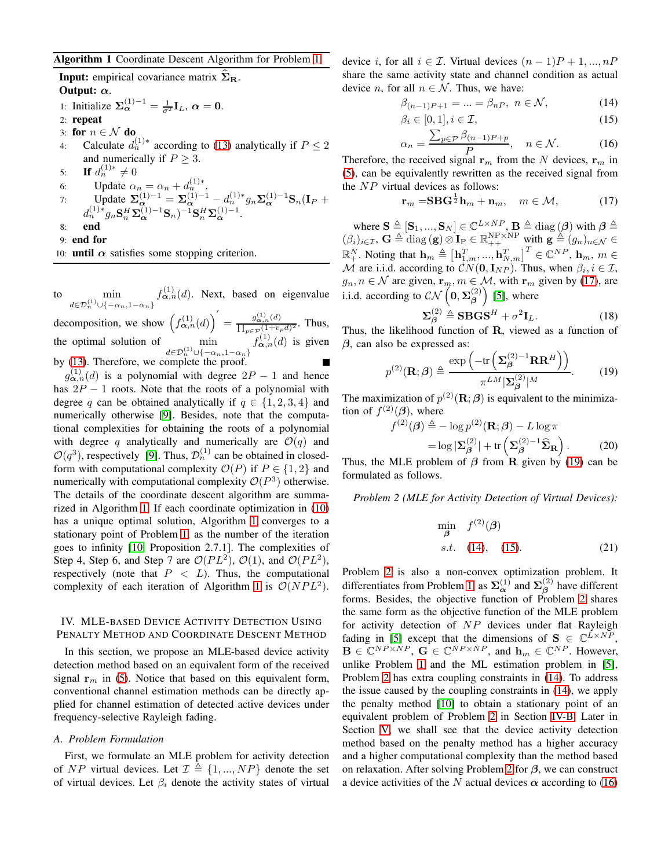## Algorithm 1 Coordinate Descent Algorithm for Problem [1](#page-2-1)

**Input:** empirical covariance matrix  $\Sigma_{\rm R}$ . Output:  $\alpha$ .

1: Initialize  $\Sigma_{\alpha}^{(1)-1} = \frac{1}{\sigma^2} I_L$ ,  $\alpha = 0$ . 2: repeat 3: for  $n \in \mathcal{N}$  do 4: Calculate  $d_n^{(1)*}$  according to [\(13\)](#page-2-7) analytically if  $P \le 2$ and numerically if  $P > 3$ . 5: **If**  $d_n^{(1)*} \neq 0$ 6: Update  $\alpha_n = \alpha_n + d_n^{(1)*}$ . 7: Update  $\Sigma_{\alpha}^{(1)-1} = \Sigma_{\alpha}^{(1)-1} - d_n^{(1)*} g_n \Sigma_{\alpha}^{(1)-1} S_n (I_P +$  $d_n^{(1)*}g_n\mathbf{S}_n^H\boldsymbol{\Sigma}_{\boldsymbol{\alpha}}^{(1)-1}\mathbf{S}_n)^{-1}\mathbf{S}_n^H\boldsymbol{\Sigma}_{\boldsymbol{\alpha}}^{(1)-1}.$ 8: end 9: end for 10: until  $\alpha$  satisfies some stopping criterion.

<span id="page-3-1"></span>to  $\qquad$  min  $d \in \mathcal{D}_n^{(1)} \cup \{-\alpha_n, 1-\alpha_n\}$  $f_{\boldsymbol{\alpha},n}^{(1)}(d)$ . Next, based on eigenvalue

decomposition, we show  $\left(f_{\alpha,n}^{(1)}(d)\right)' = \frac{g_{\alpha,n}^{(1)}(d)}{\prod_{\alpha=1+n} a}$  $\frac{g_{\alpha,n}(u)}{\prod_{p\in\mathcal{P}}(1+v_p d)^2}$ . Thus, the optimal solution of  $\qquad \qquad \text{min}$  $d \in \mathcal{D}_n^{(1)} \cup \{-\alpha_n, 1-\alpha_n\}$  $f_{\boldsymbol{\alpha},n}^{(1)}(d)$  is given by [\(13\)](#page-2-7). Therefore, we complete the proof.

 $g_{\boldsymbol{\alpha},n}^{(1)}(d)$  is a polynomial with degree  $2P-1$  and hence has  $2P - 1$  roots. Note that the roots of a polynomial with degree q can be obtained analytically if  $q \in \{1, 2, 3, 4\}$  and numerically otherwise [\[9\]](#page-5-8). Besides, note that the computational complexities for obtaining the roots of a polynomial with degree q analytically and numerically are  $\mathcal{O}(q)$  and  $\mathcal{O}(q^3)$ , respectively [\[9\]](#page-5-8). Thus,  $\mathcal{D}_n^{(1)}$  can be obtained in closedform with computational complexity  $\mathcal{O}(P)$  if  $P \in \{1,2\}$  and numerically with computational complexity  $O(P^3)$  otherwise. The details of the coordinate descent algorithm are summarized in Algorithm [1.](#page-3-1) If each coordinate optimization in [\(10\)](#page-2-2) has a unique optimal solution, Algorithm [1](#page-3-1) converges to a stationary point of Problem [1,](#page-2-1) as the number of the iteration goes to infinity [\[10,](#page-5-9) Proposition 2.7.1]. The complexities of Step 4, Step 6, and Step 7 are  $\mathcal{O}(PL^2)$ ,  $\mathcal{O}(1)$ , and  $\mathcal{O}(PL^2)$ , respectively (note that  $P \, \langle L \rangle$ ). Thus, the computational complexity of each iteration of Algorithm [1](#page-3-1) is  $\mathcal{O}(NPL^2)$ .

# <span id="page-3-0"></span>IV. MLE-BASED DEVICE ACTIVITY DETECTION USING PENALTY METHOD AND COORDINATE DESCENT METHOD

In this section, we propose an MLE-based device activity detection method based on an equivalent form of the received signal  $r_m$  in [\(5\)](#page-1-2). Notice that based on this equivalent form, conventional channel estimation methods can be directly applied for channel estimation of detected active devices under frequency-selective Rayleigh fading.

#### *A. Problem Formulation*

First, we formulate an MLE problem for activity detection of NP virtual devices. Let  $\mathcal{I} \triangleq \{1, ..., NP\}$  denote the set of virtual devices. Let  $\beta_i$  denote the activity states of virtual device i, for all  $i \in \mathcal{I}$ . Virtual devices  $(n-1)P + 1, ..., nP$ share the same activity state and channel condition as actual device *n*, for all  $n \in \mathcal{N}$ . Thus, we have:

$$
\beta_{(n-1)P+1} = \dots = \beta_{nP}, \ n \in \mathcal{N}, \tag{14}
$$

<span id="page-3-5"></span><span id="page-3-4"></span>
$$
\beta_i \in [0, 1], i \in \mathcal{I},\tag{15}
$$

<span id="page-3-7"></span>
$$
\alpha_n = \frac{\sum_{p \in \mathcal{P}} \beta_{(n-1)P + p}}{P}, \quad n \in \mathcal{N}.
$$
 (16)

Therefore, the received signal  $r_m$  from the N devices,  $r_m$  in [\(5\)](#page-1-2), can be equivalently rewritten as the received signal from the NP virtual devices as follows:

<span id="page-3-2"></span>
$$
\mathbf{r}_m = \mathbf{S} \mathbf{B} \mathbf{G}^{\frac{1}{2}} \mathbf{h}_m + \mathbf{n}_m, \quad m \in \mathcal{M}, \tag{17}
$$

where  $\mathbf{S} \triangleq [\mathbf{S}_1, ..., \mathbf{S}_N] \in \mathbb{C}^{L \times NP}, \mathbf{B} \triangleq \text{diag}(\boldsymbol{\beta})$  with  $\boldsymbol{\beta} \triangleq$  $(\beta_i)_{i\in\mathcal{I}},\, \mathbf{G}\triangleq \text{diag}\left(\mathbf{g}\right)\otimes \mathbf{I}_\text{P} \in \mathbb{R}_{++}^{\text{NP}\times \text{NP}}\,\, \text{with}\,\, \mathbf{g}\triangleq (g_n)_{n\in\mathcal{N}}\in \mathbb{R}_{++}^{\text{NP}}$  $\mathbb{R}^N_+$ . Noting that  $\mathbf{h}_m \triangleq \left[\mathbf{h}_{1,m}^T, ..., \mathbf{h}_{N,m}^T\right]^T \in \mathbb{C}^{NP}$ ,  $\mathbf{h}_m$ ,  $m \in$ M are i.i.d. according to  $CN(\mathbf{0}, \mathbf{I}_{NP})$ . Thus, when  $\beta_i, i \in \mathcal{I}$ ,  $g_n, n \in \mathcal{N}$  are given,  $\mathbf{r}_m, m \in \mathcal{M}$ , with  $\mathbf{r}_m$  given by [\(17\)](#page-3-2), are i.i.d. according to  $\mathcal{CN}\left(\mathbf{0}, \boldsymbol{\Sigma}_{\boldsymbol{\beta}}^{(2)}\right)$  [\[5\]](#page-5-4), where

<span id="page-3-8"></span><span id="page-3-3"></span>
$$
\Sigma_{\beta}^{(2)} \triangleq \mathbf{S} \mathbf{B} \mathbf{G} \mathbf{S}^{H} + \sigma^{2} \mathbf{I}_{L}.
$$
 (18)

Thus, the likelihood function of  $R$ , viewed as a function of  $\beta$ , can also be expressed as:

$$
p^{(2)}(\mathbf{R};\beta) \triangleq \frac{\exp\left(-\text{tr}\left(\mathbf{\Sigma}_{\beta}^{(2)-1}\mathbf{R}\mathbf{R}^{H}\right)\right)}{\pi^{LM}|\mathbf{\Sigma}_{\beta}^{(2)}|^{M}}.
$$
 (19)

The maximization of  $p^{(2)}$ (**R**;  $\beta$ ) is equivalent to the minimization of  $f^{(2)}(\beta)$ , where

$$
f^{(2)}(\boldsymbol{\beta}) \triangleq -\log p^{(2)}(\mathbf{R}; \boldsymbol{\beta}) - L \log \pi
$$
  
=  $\log |\mathbf{\Sigma}_{\boldsymbol{\beta}}^{(2)}| + \text{tr}(\mathbf{\Sigma}_{\boldsymbol{\beta}}^{(2)-1} \widehat{\mathbf{\Sigma}}_{\mathbf{R}}).$  (20)

Thus, the MLE problem of  $\beta$  from  $\mathbf R$  given by [\(19\)](#page-3-3) can be formulated as follows.

*Problem 2 (MLE for Activity Detection of Virtual Devices):*

<span id="page-3-9"></span><span id="page-3-6"></span>
$$
\min_{\beta} f^{(2)}(\beta) \ns.t. (14), (15). \tag{21}
$$

Problem [2](#page-3-6) is also a non-convex optimization problem. It differentiates from Problem [1,](#page-2-1) as  $\Sigma_{\alpha}^{(1)}$  and  $\Sigma_{\beta}^{(2)}$  have different forms. Besides, the objective function of Problem [2](#page-3-6) shares the same form as the objective function of the MLE problem for activity detection of NP devices under flat Rayleigh fading in [\[5\]](#page-5-4) except that the dimensions of  $S \in \mathbb{C}^{\tilde{L} \times \tilde{N}P}$ ,  $\mathbf{B} \in \mathbb{C}^{NP \times NP}$ ,  $\mathbf{G} \in \mathbb{C}^{NP \times NP}$ , and  $\mathbf{h}_m \in \mathbb{C}^{NP}$ . However, unlike Problem [1](#page-2-1) and the ML estimation problem in [\[5\]](#page-5-4), Problem [2](#page-3-6) has extra coupling constraints in [\(14\)](#page-3-4). To address the issue caused by the coupling constraints in [\(14\)](#page-3-4), we apply the penalty method [\[10\]](#page-5-9) to obtain a stationary point of an equivalent problem of Problem [2](#page-3-6) in Section [IV-B.](#page-4-1) Later in Section [V,](#page-4-0) we shall see that the device activity detection method based on the penalty method has a higher accuracy and a higher computational complexity than the method based on relaxation. After solving Problem [2](#page-3-6) for  $\beta$ , we can construct a device activities of the N actual devices  $\alpha$  according to [\(16\)](#page-3-7)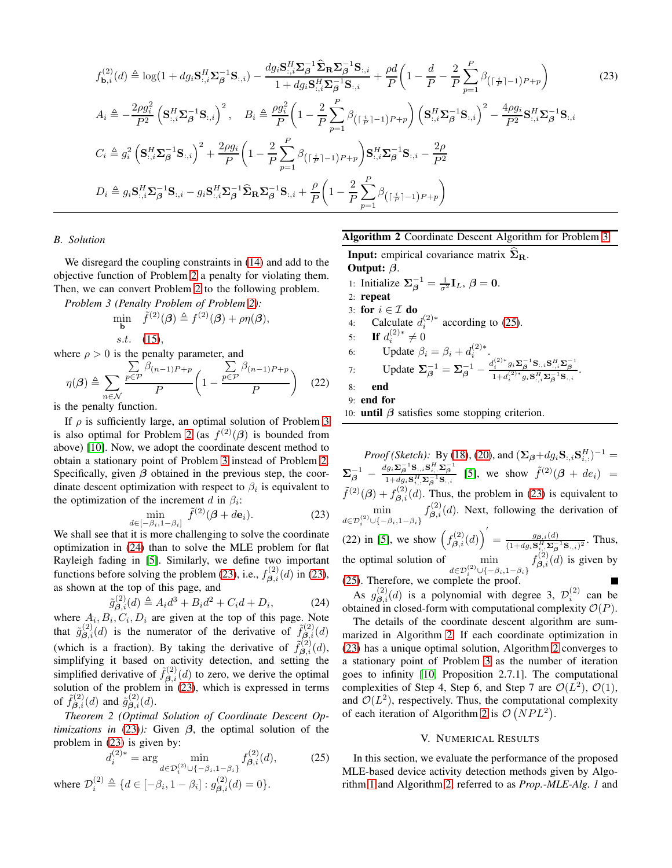$$
f_{\mathbf{b},i}^{(2)}(d) \triangleq \log(1 + dg_{i}\mathbf{S}_{:,i}^{H}\mathbf{\Sigma}_{\mathbf{\beta}}^{-1}\mathbf{S}_{:,i}) - \frac{dg_{i}\mathbf{S}_{:,i}^{H}\mathbf{\Sigma}_{\mathbf{\beta}}^{-1}\mathbf{\hat{\Sigma}}_{\mathbf{R}}\mathbf{\Sigma}_{\mathbf{\beta}}^{-1}\mathbf{S}_{:,i}}{1 + dg_{i}\mathbf{S}_{:,i}^{H}\mathbf{\Sigma}_{\mathbf{\beta}}^{-1}\mathbf{S}_{:,i}} + \frac{\rho d}{P}\left(1 - \frac{d}{P} - \frac{2}{P}\sum_{p=1}^{P}\beta_{(\lceil \frac{i}{P}\rceil-1)P+p}\right)
$$
(23)  

$$
A_{i} \triangleq -\frac{2\rho g_{i}^{2}}{P^{2}}\left(\mathbf{S}_{:,i}^{H}\mathbf{\Sigma}_{\mathbf{\beta}}^{-1}\mathbf{S}_{:,i}\right)^{2}, \quad B_{i} \triangleq \frac{\rho g_{i}^{2}}{P}\left(1 - \frac{2}{P}\sum_{p=1}^{P}\beta_{(\lceil \frac{i}{P}\rceil-1)P+p}\right)\left(\mathbf{S}_{:,i}^{H}\mathbf{\Sigma}_{\mathbf{\beta}}^{-1}\mathbf{S}_{:,i}\right)^{2} - \frac{4\rho g_{i}}{P^{2}}\mathbf{S}_{:,i}^{H}\mathbf{\Sigma}_{\mathbf{\beta}}^{-1}\mathbf{S}_{:,i}
$$
  

$$
C_{i} \triangleq g_{i}^{2}\left(\mathbf{S}_{:,i}^{H}\mathbf{\Sigma}_{\mathbf{\beta}}^{-1}\mathbf{S}_{:,i}\right)^{2} + \frac{2\rho g_{i}}{P}\left(1 - \frac{2}{P}\sum_{p=1}^{P}\beta_{(\lceil \frac{i}{P}\rceil-1)P+p}\right)\mathbf{S}_{:,i}^{H}\mathbf{\Sigma}_{\mathbf{\beta}}^{-1}\mathbf{S}_{:,i} - \frac{2\rho}{P^{2}}
$$
  

$$
D_{i} \triangleq g_{i}\mathbf{S}_{:,i}^{H}\mathbf{\Sigma}_{\mathbf{\beta}}^{-1}\mathbf{S}_{:,i} - g_{i}\mathbf{S}_{:,i}^{H}\mathbf{\Sigma}_{\mathbf{\beta}}^{-1}\mathbf{\hat{\Sigma}}_{\mathbf{R}}\mathbf{\Sigma}_{\mathbf{\beta}}^{-1}\mathbf{S}_{:,i} + \frac{\rho}{P}\left(1 - \
$$

## <span id="page-4-1"></span>*B. Solution*

We disregard the coupling constraints in [\(14\)](#page-3-4) and add to the objective function of Problem [2](#page-3-6) a penalty for violating them. Then, we can convert Problem [2](#page-3-6) to the following problem.

*Problem 3 (Penalty Problem of Problem [2\)](#page-3-6):*

$$
\min_{\mathbf{b}} \quad \tilde{f}^{(2)}(\boldsymbol{\beta}) \triangleq f^{(2)}(\boldsymbol{\beta}) + \rho \eta(\boldsymbol{\beta}),
$$
  
s.t. (15),

where  $\rho > 0$  is the penalty parameter, and

$$
\eta(\boldsymbol{\beta}) \triangleq \sum_{n \in \mathcal{N}} \frac{\sum_{p \in \mathcal{P}} \beta_{(n-1)P+p}}{P} \left(1 - \frac{\sum_{p \in \mathcal{P}} \beta_{(n-1)P+p}}{P}\right) \tag{22}
$$

is the penalty function.

If  $\rho$  is sufficiently large, an optimal solution of Problem [3](#page-4-2) is also optimal for Problem [2](#page-3-6) (as  $f^{(2)}(\beta)$  is bounded from above) [\[10\]](#page-5-9). Now, we adopt the coordinate descent method to obtain a stationary point of Problem [3](#page-4-2) instead of Problem [2.](#page-3-6) Specifically, given  $\beta$  obtained in the previous step, the coordinate descent optimization with respect to  $\beta_i$  is equivalent to the optimization of the increment d in  $\beta_i$ :

$$
\min_{d \in [-\beta_i, 1-\beta_i]} \tilde{f}^{(2)}(\boldsymbol{\beta} + d\mathbf{e}_i). \tag{23}
$$

We shall see that it is more challenging to solve the coordinate optimization in [\(24\)](#page-4-3) than to solve the MLE problem for flat Rayleigh fading in [\[5\]](#page-5-4). Similarly, we define two important functions before solving the problem [\(23\)](#page-4-4), i.e.,  $f_{\beta,i}^{(2)}(d)$  in [\(23\)](#page-4-5), as shown at the top of this page, and

$$
\tilde{g}_{\beta,i}^{(2)}(d) \triangleq A_i d^3 + B_i d^2 + C_i d + D_i,
$$
\n(24)

where  $A_i, B_i, C_i, D_i$  are given at the top of this page. Note that  $\tilde{g}^{(2)}_{\beta,i}(d)$  is the numerator of the derivative of  $\tilde{f}^{(2)}_{\beta,i}(d)$ (which is a fraction). By taking the derivative of  $\tilde{f}_{\beta,i}^{(2)}(d)$ , simplifying it based on activity detection, and setting the simplified derivative of  $\tilde{f}_{\beta,i}^{(2)}(d)$  to zero, we derive the optimal solution of the problem in [\(23\)](#page-4-4), which is expressed in terms of  $\tilde{f}_{\boldsymbol{\beta},i}^{(2)}(d)$  and  $\tilde{g}_{\boldsymbol{\beta},i}^{(2)}(d)$ .

*Theorem 2 (Optimal Solution of Coordinate Descent Optimizations in* [\(23\)](#page-4-4)): Given  $\beta$ , the optimal solution of the problem in [\(23\)](#page-4-4) is given by:

$$
d_i^{(2)*} = \arg\min_{d \in \mathcal{D}_i^{(2)} \cup \{-\beta_i, 1-\beta_i\}} f_{\beta,i}^{(2)}(d),\tag{25}
$$

where  $\mathcal{D}_i^{(2)} \triangleq \{d \in [-\beta_i, 1 - \beta_i] : g_{\boldsymbol{\beta},i}^{(2)}(d) = 0\}.$ 

# <span id="page-4-5"></span>Algorithm 2 Coordinate Descent Algorithm for Problem [3](#page-4-2)

<span id="page-4-2"></span>**Input:** empirical covariance matrix  $\widehat{\Sigma}_{\bf B}$ . Output: β. 1: Initialize  $\Sigma_{\beta}^{-1} = \frac{1}{\sigma^2} I_L$ ,  $\beta = 0$ . 2: repeat 3: for  $i \in \mathcal{I}$  do 4: Calculate  $d_i^{(2)*}$  according to [\(25\)](#page-4-6). 5: **If**  $d_i^{(2)*} \neq 0$ i 6: Update  $\beta_i = \beta_i + d_i^{(2)*}$ . 7: Update  $\Sigma_{\beta}^{-1} = \Sigma_{\beta}^{-1} - \frac{d_i^{(2)*} g_i \Sigma_{\beta}^{-1} S_{:,i} S_{:,i}^H \Sigma_{\beta}^{-1}}{1 + d_i^{(2)*} g_i S_{:,i}^H \Sigma_{\beta}^{-1} S_{:,i}}$ 8: end 9: end for 10: **until**  $\beta$  satisfies some stopping criterion.

<span id="page-4-7"></span>

<span id="page-4-4"></span>*Proof (Sketch)*: By [\(18\)](#page-3-8), [\(20\)](#page-3-9), and  $(\Sigma_{\beta} + dg_i \mathbf{S}_{:,i} \mathbf{S}_{i,:}^H)^{-1} =$  $\boldsymbol{\Sigma}_{\boldsymbol{\beta}}^{-1}$  –  $\frac{dg_i\mathbf{\Sigma}_{\beta}^{-1}\mathbf{S}_{:,i}\mathbf{S}_{i,:}^H\mathbf{\Sigma}_{\beta}^{-1}}{1+dg_i\mathbf{S}_{i,:}^H\mathbf{\Sigma}_{\beta}^{-1}\mathbf{S}_{:,i}}$  [\[5\]](#page-5-4), we show  $\tilde{f}^{(2)}(\boldsymbol{\beta}+de_i)$  =  $\tilde{f}^{(2)}(\beta) + f^{(2)}_{\beta,i}(d)$ . Thus, the problem in [\(23\)](#page-4-4) is equivalent to min  $d \in \mathcal{D}_i^{(2)} \cup \{-\beta_i, 1-\beta_i\}$  $f_{\beta,i}^{(2)}(d)$ . Next, following the derivation of (22) in [\[5\]](#page-5-4), we show  $\left( f_{\beta,i}^{(2)}(d) \right)$  $\bigg( \int \limits_{0}^{t} = \frac{g_{\beta,i}(d)}{(1+d_{\beta} \mathbf{S}^H \mathbf{S}^{-1})}$  $\frac{g_{\boldsymbol{\beta},i}(a)}{(1+dg_i\mathbf{S}_{i,:}^H\boldsymbol{\Sigma}_{\boldsymbol{\beta}}^{-1}\mathbf{S}_{:,i})^2}$ . Thus, the optimal solution of  $\qquad$  min  $d \in \mathcal{D}_i^{(2)} \cup \{-\beta_i, 1-\beta_i\}$  $f_{\boldsymbol{\beta},i}^{(2)}(d)$  is given by [\(25\)](#page-4-6). Therefore, we complete the proof.

<span id="page-4-3"></span>As  $g_{\beta,i}^{(2)}(d)$  is a polynomial with degree 3,  $\mathcal{D}_i^{(2)}$  can be obtained in closed-form with computational complexity  $O(P)$ .

The details of the coordinate descent algorithm are summarized in Algorithm [2.](#page-4-7) If each coordinate optimization in [\(23\)](#page-4-4) has a unique optimal solution, Algorithm [2](#page-4-7) converges to a stationary point of Problem [3](#page-4-2) as the number of iteration goes to infinity [\[10,](#page-5-9) Proposition 2.7.1]. The computational complexities of Step 4, Step 6, and Step 7 are  $\mathcal{O}(L^2)$ ,  $\mathcal{O}(1)$ , and  $\mathcal{O}(L^2)$ , respectively. Thus, the computational complexity of each iteration of Algorithm [2](#page-4-7) is  $\mathcal{O}(NPL^2)$ .

#### V. NUMERICAL RESULTS

<span id="page-4-6"></span><span id="page-4-0"></span>In this section, we evaluate the performance of the proposed MLE-based device activity detection methods given by Algorithm [1](#page-3-1) and Algorithm [2,](#page-4-7) referred to as *Prop.-MLE-Alg. 1* and